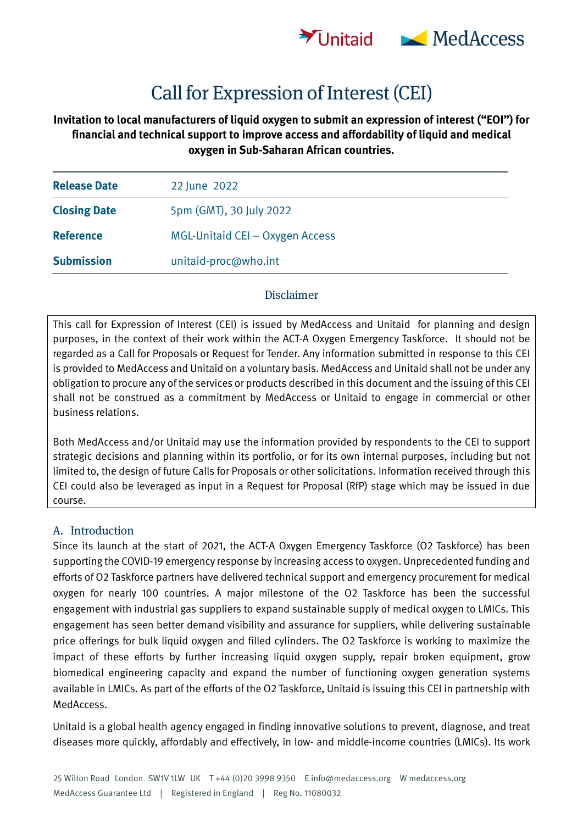

# **Call for Expression of Interest (CEI)**

## **Invitation to local manufacturers of liquid oxygen to submit an expression of interest ("EOI") for financial and technical support to improve access and affordability of liquid and medical oxygen in Sub-Saharan African countries.**

| <b>Release Date</b> | 22 June 2022                    |
|---------------------|---------------------------------|
| <b>Closing Date</b> | 5pm (GMT), 30 July 2022         |
| <b>Reference</b>    | MGL-Unitaid CEI - Oxygen Access |
| <b>Submission</b>   | unitaid-proc@who.int            |

#### **Disclaimer**

This call for Expression of Interest (CEI) is issued by MedAccess and Unitaid for planning and design purposes, in the context of their work within the ACT-A Oxygen Emergency Taskforce. It should not be regarded as a Call for Proposals or Request for Tender. Any information submitted in response to this CEI is provided to MedAccess and Unitaid on a voluntary basis. MedAccess and Unitaid shall not be under any obligation to procure any of the services or products described in this document and the issuing of this CEI shall not be construed as a commitment by MedAccess or Unitaid to engage in commercial or other business relations.

Both MedAccess and/or Unitaid may use the information provided by respondents to the CEI to support strategic decisions and planning within its portfolio, or for its own internal purposes, including but not limited to, the design of future Calls for Proposals or other solicitations. Information received through this CEI could also be leveraged as input in a Request for Proposal (RfP) stage which may be issued in due course.

#### **A. Introduction**

Since its launch at the start of 2021, the ACT-A Oxygen Emergency Taskforce (O2 Taskforce) has been supporting the COVID-19 emergency response by increasing access to oxygen. Unprecedented funding and efforts of O2 Taskforce partners have delivered technical support and emergency procurement for medical oxygen for nearly 100 countries. A major milestone of the O2 Taskforce has been the successful engagement with industrial gas suppliers to expand sustainable supply of medical oxygen to LMICs. This engagement has seen better demand visibility and assurance for suppliers, while delivering sustainable price offerings for bulk liquid oxygen and filled cylinders. The O2 Taskforce is working to maximize the impact of these efforts by further increasing liquid oxygen supply, repair broken equipment, grow biomedical engineering capacity and expand the number of functioning oxygen generation systems available in LMICs. As part of the efforts of the O2 Taskforce, Unitaid is issuing this CEI in partnership with MedAccess.

Unitaid is a global health agency engaged in finding innovative solutions to prevent, diagnose, and treat diseases more quickly, affordably and effectively, in low- and middle-income countries (LMICs). Its work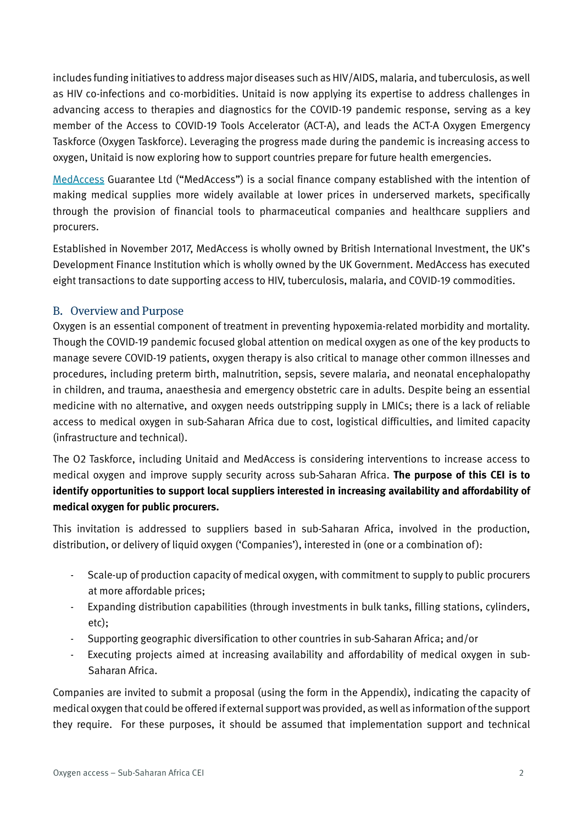includes funding initiatives to address major diseases such as HIV/AIDS, malaria, and tuberculosis, as well as HIV co-infections and co-morbidities. Unitaid is now applying its expertise to address challenges in advancing access to therapies and diagnostics for the COVID-19 pandemic response, serving as a key member of the Access to COVID-19 Tools Accelerator (ACT-A), and leads the ACT-A Oxygen Emergency Taskforce (Oxygen Taskforce). Leveraging the progress made during the pandemic is increasing access to oxygen, Unitaid is now exploring how to support countries prepare for future health emergencies.

[MedAccess](https://medaccess.org/) Guarantee Ltd ("MedAccess") is a social finance company established with the intention of making medical supplies more widely available at lower prices in underserved markets, specifically through the provision of financial tools to pharmaceutical companies and healthcare suppliers and procurers.

Established in November 2017, MedAccess is wholly owned by British International Investment, the UK's Development Finance Institution which is wholly owned by the UK Government. MedAccess has executed eight transactions to date supporting access to HIV, tuberculosis, malaria, and COVID-19 commodities.

## **B. Overview and Purpose**

Oxygen is an essential component of treatment in preventing hypoxemia-related morbidity and mortality. Though the COVID-19 pandemic focused global attention on medical oxygen as one of the key products to manage severe COVID-19 patients, oxygen therapy is also critical to manage other common illnesses and procedures, including preterm birth, malnutrition, sepsis, severe malaria, and neonatal encephalopathy in children, and trauma, anaesthesia and emergency obstetric care in adults. Despite being an essential medicine with no alternative, and oxygen needs outstripping supply in LMICs; there is a lack of reliable access to medical oxygen in sub-Saharan Africa due to cost, logistical difficulties, and limited capacity (infrastructure and technical).

The O2 Taskforce, including Unitaid and MedAccess is considering interventions to increase access to medical oxygen and improve supply security across sub-Saharan Africa. **The purpose of this CEI is to identify opportunities to support local suppliers interested in increasing availability and affordability of medical oxygen for public procurers.**

This invitation is addressed to suppliers based in sub-Saharan Africa, involved in the production, distribution, or delivery of liquid oxygen ('Companies'), interested in (one or a combination of):

- Scale-up of production capacity of medical oxygen, with commitment to supply to public procurers at more affordable prices;
- Expanding distribution capabilities (through investments in bulk tanks, filling stations, cylinders, etc);
- Supporting geographic diversification to other countries in sub-Saharan Africa; and/or
- Executing projects aimed at increasing availability and affordability of medical oxygen in sub-Saharan Africa.

Companies are invited to submit a proposal (using the form in the Appendix), indicating the capacity of medical oxygen that could be offered if external support was provided, as well as information of the support they require. For these purposes, it should be assumed that implementation support and technical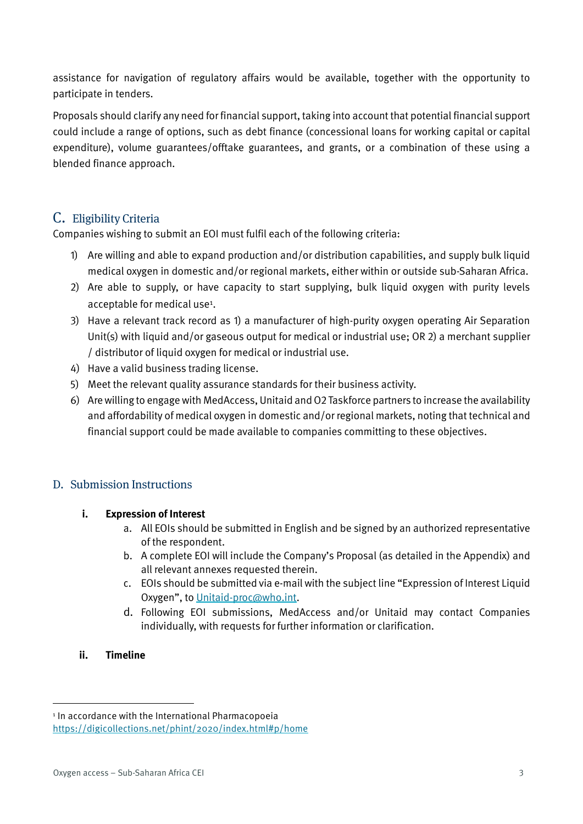assistance for navigation of regulatory affairs would be available, together with the opportunity to participate in tenders.

Proposals should clarify any need for financial support, taking into account that potential financial support could include a range of options, such as debt finance (concessional loans for working capital or capital expenditure), volume guarantees/offtake guarantees, and grants, or a combination of these using a blended finance approach.

## **C. Eligibility Criteria**

Companies wishing to submit an EOI must fulfil each of the following criteria:

- 1) Are willing and able to expand production and/or distribution capabilities, and supply bulk liquid medical oxygen in domestic and/or regional markets, either within or outside sub-Saharan Africa.
- 2) Are able to supply, or have capacity to start supplying, bulk liquid oxygen with purity levels acceptable for medical use<sup>1</sup>.
- 3) Have a relevant track record as 1) a manufacturer of high-purity oxygen operating Air Separation Unit(s) with liquid and/or gaseous output for medical or industrial use; OR 2) a merchant supplier / distributor of liquid oxygen for medical or industrial use.
- 4) Have a valid business trading license.
- 5) Meet the relevant quality assurance standards for their business activity.
- 6) Are willing to engage with MedAccess, Unitaid andO2 Taskforce partners to increase the availability and affordability of medical oxygen in domestic and/or regional markets, noting that technical and financial support could be made available to companies committing to these objectives.

## **D. Submission Instructions**

## **i. Expression of Interest**

- a. All EOIs should be submitted in English and be signed by an authorized representative of the respondent.
- b. A complete EOI will include the Company's Proposal (as detailed in the Appendix) and all relevant annexes requested therein.
- c. EOIs should be submitted via e-mail with the subject line "Expression of Interest Liquid Oxygen", t[o Unitaid-proc@who.int.](mailto:Unitaid-proc@who.int)
- d. Following EOI submissions, MedAccess and/or Unitaid may contact Companies individually, with requests for further information or clarification.

## **ii. Timeline**

<sup>&</sup>lt;sup>1</sup> In accordance with the International Pharmacopoeia

<https://digicollections.net/phint/2020/index.html#p/home>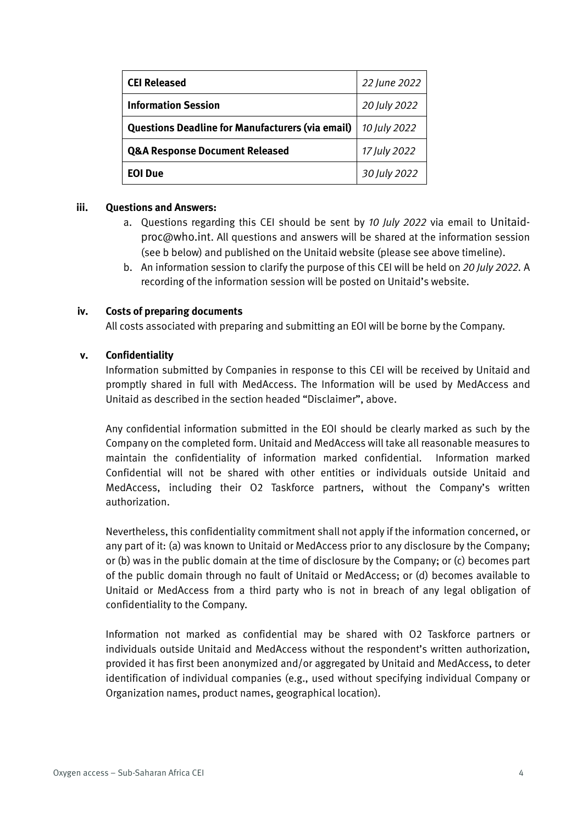| <b>CEI Released</b>                                     | 22 June 2022 |
|---------------------------------------------------------|--------------|
| <b>Information Session</b>                              | 20 July 2022 |
| <b>Questions Deadline for Manufacturers (via email)</b> | 10 July 2022 |
| <b>Q&amp;A Response Document Released</b>               | 17 July 2022 |
| <b>EOI Due</b>                                          | 30 July 2022 |

#### **iii. Questions and Answers:**

- a. Questions regarding this CEI should be sent by *10 July 2022* via email to Unitaidproc@who.int. All questions and answers will be shared at the information session (see b below) and published on the Unitaid website (please see above timeline).
- b. An information session to clarify the purpose of this CEI will be held on *20 July 2022.* A recording of the information session will be posted on Unitaid's website.

#### **iv. Costs of preparing documents**

All costs associated with preparing and submitting an EOI will be borne by the Company.

#### **v. Confidentiality**

Information submitted by Companies in response to this CEI will be received by Unitaid and promptly shared in full with MedAccess. The Information will be used by MedAccess and Unitaid as described in the section headed "Disclaimer", above.

Any confidential information submitted in the EOI should be clearly marked as such by the Company on the completed form. Unitaid and MedAccess will take all reasonable measures to maintain the confidentiality of information marked confidential. Information marked Confidential will not be shared with other entities or individuals outside Unitaid and MedAccess, including their O2 Taskforce partners, without the Company's written authorization.

Nevertheless, this confidentiality commitment shall not apply if the information concerned, or any part of it: (a) was known to Unitaid or MedAccess prior to any disclosure by the Company; or (b) was in the public domain at the time of disclosure by the Company; or (c) becomes part of the public domain through no fault of Unitaid or MedAccess; or (d) becomes available to Unitaid or MedAccess from a third party who is not in breach of any legal obligation of confidentiality to the Company.

Information not marked as confidential may be shared with O2 Taskforce partners or individuals outside Unitaid and MedAccess without the respondent's written authorization, provided it has first been anonymized and/or aggregated by Unitaid and MedAccess, to deter identification of individual companies (e.g., used without specifying individual Company or Organization names, product names, geographical location).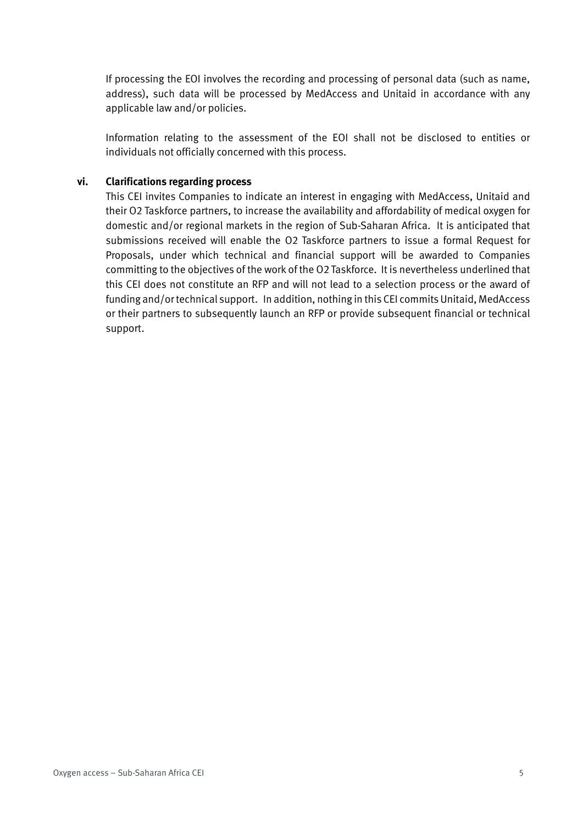If processing the EOI involves the recording and processing of personal data (such as name, address), such data will be processed by MedAccess and Unitaid in accordance with any applicable law and/or policies.

Information relating to the assessment of the EOI shall not be disclosed to entities or individuals not officially concerned with this process.

#### **vi. Clarifications regarding process**

This CEI invites Companies to indicate an interest in engaging with MedAccess, Unitaid and their O2 Taskforce partners, to increase the availability and affordability of medical oxygen for domestic and/or regional markets in the region of Sub-Saharan Africa. It is anticipated that submissions received will enable the O2 Taskforce partners to issue a formal Request for Proposals, under which technical and financial support will be awarded to Companies committing to the objectives of the work of the O2 Taskforce. It is nevertheless underlined that this CEI does not constitute an RFP and will not lead to a selection process or the award of funding and/or technical support. In addition, nothing in this CEI commits Unitaid, MedAccess or their partners to subsequently launch an RFP or provide subsequent financial or technical support.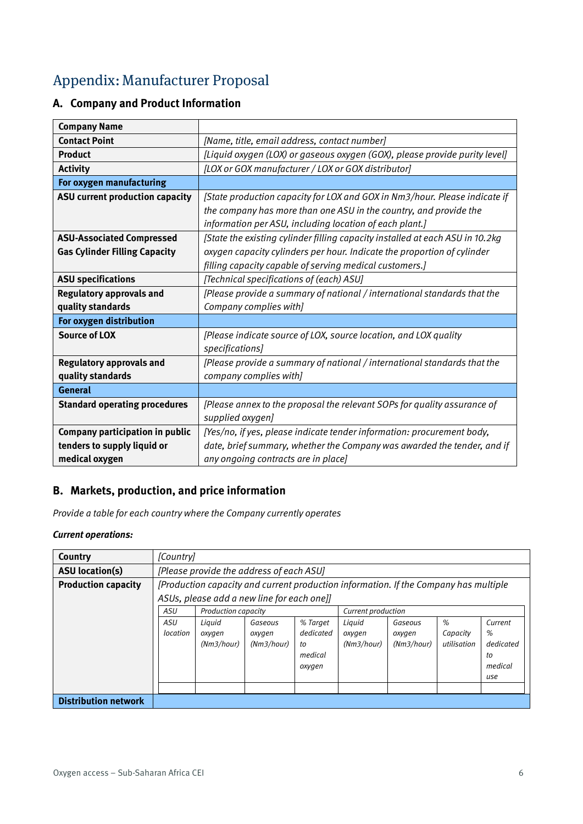## **Appendix: Manufacturer Proposal**

## **A. Company and Product Information**

| <b>Company Name</b>                  |                                                                               |
|--------------------------------------|-------------------------------------------------------------------------------|
| <b>Contact Point</b>                 | [Name, title, email address, contact number]                                  |
| <b>Product</b>                       | [Liquid oxygen (LOX) or gaseous oxygen (GOX), please provide purity level]    |
| <b>Activity</b>                      | [LOX or GOX manufacturer / LOX or GOX distributor]                            |
| For oxygen manufacturing             |                                                                               |
| ASU current production capacity      | [State production capacity for LOX and GOX in Nm3/hour. Please indicate if    |
|                                      | the company has more than one ASU in the country, and provide the             |
|                                      | information per ASU, including location of each plant.]                       |
| <b>ASU-Associated Compressed</b>     | [State the existing cylinder filling capacity installed at each ASU in 10.2kg |
| <b>Gas Cylinder Filling Capacity</b> | oxygen capacity cylinders per hour. Indicate the proportion of cylinder       |
|                                      | filling capacity capable of serving medical customers.]                       |
| <b>ASU specifications</b>            | [Technical specifications of (each) ASU]                                      |
| <b>Regulatory approvals and</b>      | [Please provide a summary of national / international standards that the      |
| quality standards                    | Company complies with]                                                        |
| For oxygen distribution              |                                                                               |
| <b>Source of LOX</b>                 | [Please indicate source of LOX, source location, and LOX quality              |
|                                      | specifications]                                                               |
| <b>Regulatory approvals and</b>      | [Please provide a summary of national / international standards that the      |
| quality standards                    | company complies with]                                                        |
| <b>General</b>                       |                                                                               |
| <b>Standard operating procedures</b> | [Please annex to the proposal the relevant SOPs for quality assurance of      |
|                                      | supplied oxygen]                                                              |
| Company participation in public      | [Yes/no, if yes, please indicate tender information: procurement body,        |
| tenders to supply liquid or          | date, brief summary, whether the Company was awarded the tender, and if       |
| medical oxygen                       | any ongoing contracts are in place]                                           |

## **B. Markets, production, and price information**

*Provide a table for each country where the Company currently operates*

#### *Current operations:*

| Country                     | [Country]                                                                                                                          |                                                                                                                       |  |  |                                |                                 |                              |                                                   |
|-----------------------------|------------------------------------------------------------------------------------------------------------------------------------|-----------------------------------------------------------------------------------------------------------------------|--|--|--------------------------------|---------------------------------|------------------------------|---------------------------------------------------|
| <b>ASU</b> location(s)      | [Please provide the address of each ASU]                                                                                           |                                                                                                                       |  |  |                                |                                 |                              |                                                   |
| <b>Production capacity</b>  | [Production capacity and current production information. If the Company has multiple<br>ASUs, please add a new line for each one]] |                                                                                                                       |  |  |                                |                                 |                              |                                                   |
|                             | <b>ASU</b><br><b>Production capacity</b><br>Current production                                                                     |                                                                                                                       |  |  |                                |                                 |                              |                                                   |
|                             | ASU<br>location                                                                                                                    | Liguid<br>% Target<br>Gaseous<br>dedicated<br>oxygen<br>oxygen<br>(Nm3/hour)<br>(Nm3/hour)<br>to<br>medical<br>oxygen |  |  | Liguid<br>oxygen<br>(Nm3/hour) | Gaseous<br>oxygen<br>(Nm3/hour) | %<br>Capacity<br>utilisation | Current<br>%<br>dedicated<br>to<br>medical<br>use |
| <b>Distribution network</b> |                                                                                                                                    |                                                                                                                       |  |  |                                |                                 |                              |                                                   |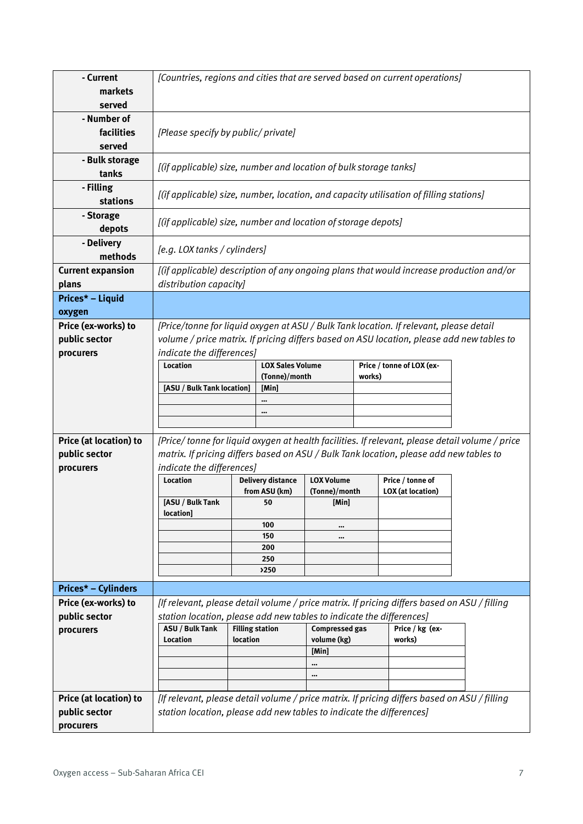| - Current                         |                                                                      |          |                          |                       |        | [Countries, regions and cities that are served based on current operations]                    |  |  |
|-----------------------------------|----------------------------------------------------------------------|----------|--------------------------|-----------------------|--------|------------------------------------------------------------------------------------------------|--|--|
| markets                           |                                                                      |          |                          |                       |        |                                                                                                |  |  |
| served                            |                                                                      |          |                          |                       |        |                                                                                                |  |  |
| - Number of                       |                                                                      |          |                          |                       |        |                                                                                                |  |  |
| facilities                        | [Please specify by public/ private]                                  |          |                          |                       |        |                                                                                                |  |  |
| served                            |                                                                      |          |                          |                       |        |                                                                                                |  |  |
| - Bulk storage<br>tanks           | [(if applicable) size, number and location of bulk storage tanks]    |          |                          |                       |        |                                                                                                |  |  |
| - Filling<br><b>stations</b>      |                                                                      |          |                          |                       |        | [(if applicable) size, number, location, and capacity utilisation of filling stations]         |  |  |
| - Storage<br>depots               | [(if applicable) size, number and location of storage depots]        |          |                          |                       |        |                                                                                                |  |  |
| - Delivery<br>methods             | [e.g. LOX tanks / cylinders]                                         |          |                          |                       |        |                                                                                                |  |  |
| <b>Current expansion</b><br>plans | distribution capacity]                                               |          |                          |                       |        | [(if applicable) description of any ongoing plans that would increase production and/or        |  |  |
| Prices* - Liquid                  |                                                                      |          |                          |                       |        |                                                                                                |  |  |
| oxygen                            |                                                                      |          |                          |                       |        |                                                                                                |  |  |
| Price (ex-works) to               |                                                                      |          |                          |                       |        | [Price/tonne for liquid oxygen at ASU / Bulk Tank location. If relevant, please detail         |  |  |
| public sector                     |                                                                      |          |                          |                       |        | volume / price matrix. If pricing differs based on ASU location, please add new tables to      |  |  |
| procurers                         | indicate the differences]                                            |          |                          |                       |        |                                                                                                |  |  |
|                                   | <b>Location</b>                                                      |          | <b>LOX Sales Volume</b>  |                       |        | Price / tonne of LOX (ex-                                                                      |  |  |
|                                   |                                                                      |          | (Tonne)/month            |                       | works) |                                                                                                |  |  |
|                                   | [ASU / Bulk Tank location]                                           |          | [Min]                    |                       |        |                                                                                                |  |  |
|                                   |                                                                      |          | <br>$\cdots$             |                       |        |                                                                                                |  |  |
|                                   |                                                                      |          |                          |                       |        |                                                                                                |  |  |
| Price (at location) to            |                                                                      |          |                          |                       |        | [Price/tonne for liquid oxygen at health facilities. If relevant, please detail volume / price |  |  |
| public sector                     |                                                                      |          |                          |                       |        | matrix. If pricing differs based on ASU / Bulk Tank location, please add new tables to         |  |  |
| procurers                         | indicate the differences]                                            |          |                          |                       |        |                                                                                                |  |  |
|                                   | <b>Location</b>                                                      |          | <b>Delivery distance</b> | <b>LOX Volume</b>     |        | Price / tonne of                                                                               |  |  |
|                                   |                                                                      |          | from ASU (km)            | (Tonne)/month         |        | <b>LOX</b> (at location)                                                                       |  |  |
|                                   | [ASU / Bulk Tank                                                     |          | 50                       | [Min]                 |        |                                                                                                |  |  |
|                                   | <b>location</b>                                                      |          |                          |                       |        |                                                                                                |  |  |
|                                   |                                                                      |          | 100<br>150               | $\cdots$<br>          |        |                                                                                                |  |  |
|                                   |                                                                      |          | 200                      |                       |        |                                                                                                |  |  |
|                                   |                                                                      |          | 250                      |                       |        |                                                                                                |  |  |
|                                   |                                                                      |          | >250                     |                       |        |                                                                                                |  |  |
| <b>Prices* – Cylinders</b>        |                                                                      |          |                          |                       |        |                                                                                                |  |  |
| Price (ex-works) to               |                                                                      |          |                          |                       |        | [If relevant, please detail volume / price matrix. If pricing differs based on ASU / filling   |  |  |
| public sector                     | station location, please add new tables to indicate the differences] |          |                          |                       |        |                                                                                                |  |  |
| procurers                         | ASU / Bulk Tank                                                      |          | <b>Filling station</b>   | <b>Compressed gas</b> |        | Price / kg (ex-                                                                                |  |  |
|                                   | <b>Location</b>                                                      | location |                          | volume (kg)           |        | works)                                                                                         |  |  |
|                                   |                                                                      |          |                          | [Min]                 |        |                                                                                                |  |  |
|                                   |                                                                      |          |                          | $\cdots$<br>          |        |                                                                                                |  |  |
|                                   |                                                                      |          |                          |                       |        |                                                                                                |  |  |
| Price (at location) to            |                                                                      |          |                          |                       |        | [If relevant, please detail volume / price matrix. If pricing differs based on ASU / filling   |  |  |
| public sector                     | station location, please add new tables to indicate the differences] |          |                          |                       |        |                                                                                                |  |  |
| procurers                         |                                                                      |          |                          |                       |        |                                                                                                |  |  |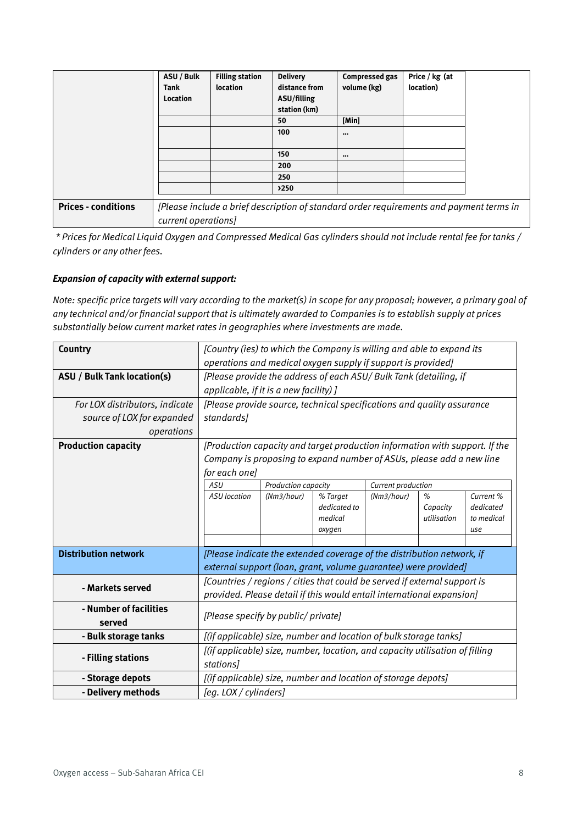|                            | ASU / Bulk          | <b>Filling station</b> | <b>Delivery</b> | <b>Compressed gas</b>                                                                   | Price / kg (at |  |  |
|----------------------------|---------------------|------------------------|-----------------|-----------------------------------------------------------------------------------------|----------------|--|--|
|                            | <b>Tank</b>         | location               | distance from   | volume (kg)                                                                             | location)      |  |  |
|                            | Location            |                        | ASU/filling     |                                                                                         |                |  |  |
|                            |                     |                        | station (km)    |                                                                                         |                |  |  |
|                            |                     |                        | 50              | [Min]                                                                                   |                |  |  |
|                            |                     |                        | 100             | $\bullet\bullet\bullet$                                                                 |                |  |  |
|                            |                     |                        |                 |                                                                                         |                |  |  |
|                            |                     |                        | 150             | $\bullet\bullet\bullet$                                                                 |                |  |  |
|                            |                     |                        | 200             |                                                                                         |                |  |  |
|                            |                     |                        | 250             |                                                                                         |                |  |  |
|                            |                     |                        | 250             |                                                                                         |                |  |  |
| <b>Prices - conditions</b> |                     |                        |                 | [Please include a brief description of standard order requirements and payment terms in |                |  |  |
|                            | current operations] |                        |                 |                                                                                         |                |  |  |

*\* Prices for Medical Liquid Oxygen and Compressed Medical Gas cylinders should not include rental fee for tanks / cylinders or any other fees.* 

#### *Expansion of capacity with external support:*

*Note: specific price targets will vary according to the market(s) in scope for any proposal; however, a primary goal of any technical and/or financial support that is ultimately awarded to Companies is to establish supply at prices substantially below current market rates in geographies where investments are made.*

| Country                            | [Country (ies) to which the Company is willing and able to expand its        |                     |                         |                    |                         |                         |  |  |
|------------------------------------|------------------------------------------------------------------------------|---------------------|-------------------------|--------------------|-------------------------|-------------------------|--|--|
|                                    | operations and medical oxygen supply if support is provided]                 |                     |                         |                    |                         |                         |  |  |
| <b>ASU</b> / Bulk Tank location(s) | [Please provide the address of each ASU/ Bulk Tank (detailing, if            |                     |                         |                    |                         |                         |  |  |
|                                    | applicable, if it is a new facility) ]                                       |                     |                         |                    |                         |                         |  |  |
| For LOX distributors, indicate     | [Please provide source, technical specifications and quality assurance       |                     |                         |                    |                         |                         |  |  |
| source of LOX for expanded         | standards]                                                                   |                     |                         |                    |                         |                         |  |  |
| operations                         |                                                                              |                     |                         |                    |                         |                         |  |  |
| <b>Production capacity</b>         | [Production capacity and target production information with support. If the  |                     |                         |                    |                         |                         |  |  |
|                                    | Company is proposing to expand number of ASUs, please add a new line         |                     |                         |                    |                         |                         |  |  |
|                                    | for each one]                                                                |                     |                         |                    |                         |                         |  |  |
|                                    | <b>ASU</b>                                                                   | Production capacity |                         | Current production |                         |                         |  |  |
|                                    | <b>ASU</b> location                                                          | (Nm3/hour)          | % Target                | (Nm3/hour)         | %                       | Current %               |  |  |
|                                    |                                                                              |                     | dedicated to<br>medical |                    | Capacity<br>utilisation | dedicated<br>to medical |  |  |
|                                    |                                                                              |                     | oxygen                  |                    |                         | use                     |  |  |
|                                    |                                                                              |                     |                         |                    |                         |                         |  |  |
| <b>Distribution network</b>        | [Please indicate the extended coverage of the distribution network, if       |                     |                         |                    |                         |                         |  |  |
|                                    | external support (loan, grant, volume guarantee) were provided]              |                     |                         |                    |                         |                         |  |  |
| - Markets served                   | [Countries / regions / cities that could be served if external support is    |                     |                         |                    |                         |                         |  |  |
|                                    | provided. Please detail if this would entail international expansion]        |                     |                         |                    |                         |                         |  |  |
| - Number of facilities             |                                                                              |                     |                         |                    |                         |                         |  |  |
| served                             | [Please specify by public/ private]                                          |                     |                         |                    |                         |                         |  |  |
| - Bulk storage tanks               | [(if applicable) size, number and location of bulk storage tanks]            |                     |                         |                    |                         |                         |  |  |
|                                    | [(if applicable) size, number, location, and capacity utilisation of filling |                     |                         |                    |                         |                         |  |  |
| - Filling stations                 | stations]                                                                    |                     |                         |                    |                         |                         |  |  |
| - Storage depots                   | [(if applicable) size, number and location of storage depots]                |                     |                         |                    |                         |                         |  |  |
| - Delivery methods                 | [eq. LOX / cylinders]                                                        |                     |                         |                    |                         |                         |  |  |